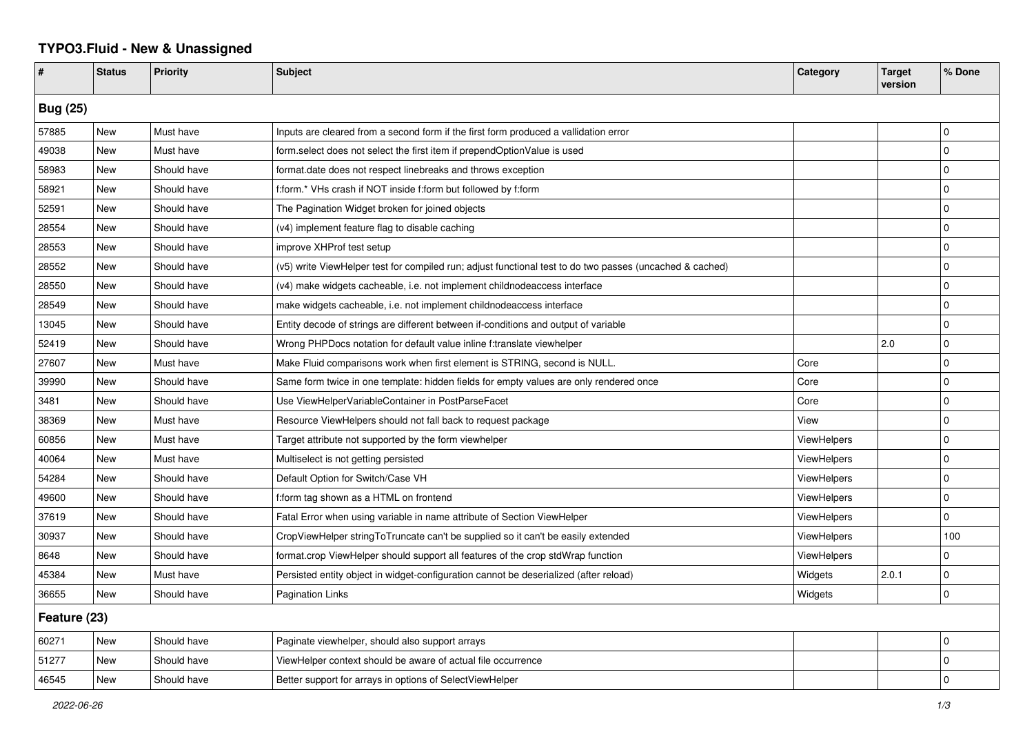## **TYPO3.Fluid - New & Unassigned**

| #               | <b>Status</b> | <b>Priority</b> | <b>Subject</b>                                                                                           | Category           | <b>Target</b><br>version | % Done      |  |  |
|-----------------|---------------|-----------------|----------------------------------------------------------------------------------------------------------|--------------------|--------------------------|-------------|--|--|
| <b>Bug (25)</b> |               |                 |                                                                                                          |                    |                          |             |  |  |
| 57885           | New           | Must have       | Inputs are cleared from a second form if the first form produced a vallidation error                     |                    |                          | 0           |  |  |
| 49038           | New           | Must have       | form select does not select the first item if prependOptionValue is used                                 |                    |                          | $\mathbf 0$ |  |  |
| 58983           | New           | Should have     | format.date does not respect linebreaks and throws exception                                             |                    |                          | $\mathbf 0$ |  |  |
| 58921           | New           | Should have     | f:form.* VHs crash if NOT inside f:form but followed by f:form                                           |                    |                          | $\mathbf 0$ |  |  |
| 52591           | New           | Should have     | The Pagination Widget broken for joined objects                                                          |                    |                          | $\mathbf 0$ |  |  |
| 28554           | <b>New</b>    | Should have     | (v4) implement feature flag to disable caching                                                           |                    |                          | l 0         |  |  |
| 28553           | New           | Should have     | improve XHProf test setup                                                                                |                    |                          | $\mathbf 0$ |  |  |
| 28552           | New           | Should have     | (v5) write ViewHelper test for compiled run; adjust functional test to do two passes (uncached & cached) |                    |                          | $\pmb{0}$   |  |  |
| 28550           | New           | Should have     | (v4) make widgets cacheable, i.e. not implement childnodeaccess interface                                |                    |                          | $\mathbf 0$ |  |  |
| 28549           | New           | Should have     | make widgets cacheable, i.e. not implement childnodeaccess interface                                     |                    |                          | $\mathbf 0$ |  |  |
| 13045           | New           | Should have     | Entity decode of strings are different between if-conditions and output of variable                      |                    |                          | $\mathbf 0$ |  |  |
| 52419           | New           | Should have     | Wrong PHPDocs notation for default value inline f:translate viewhelper                                   |                    | 2.0                      | $\mathbf 0$ |  |  |
| 27607           | New           | Must have       | Make Fluid comparisons work when first element is STRING, second is NULL.                                | Core               |                          | $\mathbf 0$ |  |  |
| 39990           | New           | Should have     | Same form twice in one template: hidden fields for empty values are only rendered once                   | Core               |                          | $\mathbf 0$ |  |  |
| 3481            | <b>New</b>    | Should have     | Use ViewHelperVariableContainer in PostParseFacet                                                        | Core               |                          | $\mathbf 0$ |  |  |
| 38369           | <b>New</b>    | Must have       | Resource ViewHelpers should not fall back to request package                                             | View               |                          | $\mathbf 0$ |  |  |
| 60856           | New           | Must have       | Target attribute not supported by the form viewhelper                                                    | <b>ViewHelpers</b> |                          | $\mathbf 0$ |  |  |
| 40064           | New           | Must have       | Multiselect is not getting persisted                                                                     | ViewHelpers        |                          | $\mathbf 0$ |  |  |
| 54284           | New           | Should have     | Default Option for Switch/Case VH                                                                        | <b>ViewHelpers</b> |                          | $\mathbf 0$ |  |  |
| 49600           | New           | Should have     | f:form tag shown as a HTML on frontend                                                                   | ViewHelpers        |                          | $\mathbf 0$ |  |  |
| 37619           | <b>New</b>    | Should have     | Fatal Error when using variable in name attribute of Section ViewHelper                                  | ViewHelpers        |                          | $\mathbf 0$ |  |  |
| 30937           | New           | Should have     | CropViewHelper stringToTruncate can't be supplied so it can't be easily extended                         | <b>ViewHelpers</b> |                          | 100         |  |  |
| 8648            | New           | Should have     | format.crop ViewHelper should support all features of the crop stdWrap function                          | ViewHelpers        |                          | $\mathbf 0$ |  |  |
| 45384           | New           | Must have       | Persisted entity object in widget-configuration cannot be deserialized (after reload)                    | Widgets            | 2.0.1                    | 0           |  |  |
| 36655           | <b>New</b>    | Should have     | Pagination Links                                                                                         | Widgets            |                          | $\mathbf 0$ |  |  |
| Feature (23)    |               |                 |                                                                                                          |                    |                          |             |  |  |
| 60271           | New           | Should have     | Paginate viewhelper, should also support arrays                                                          |                    |                          | $\mathbf 0$ |  |  |
| 51277           | <b>New</b>    | Should have     | ViewHelper context should be aware of actual file occurrence                                             |                    |                          | $\mathbf 0$ |  |  |
| 46545           | New           | Should have     | Better support for arrays in options of SelectViewHelper                                                 |                    |                          | $\Omega$    |  |  |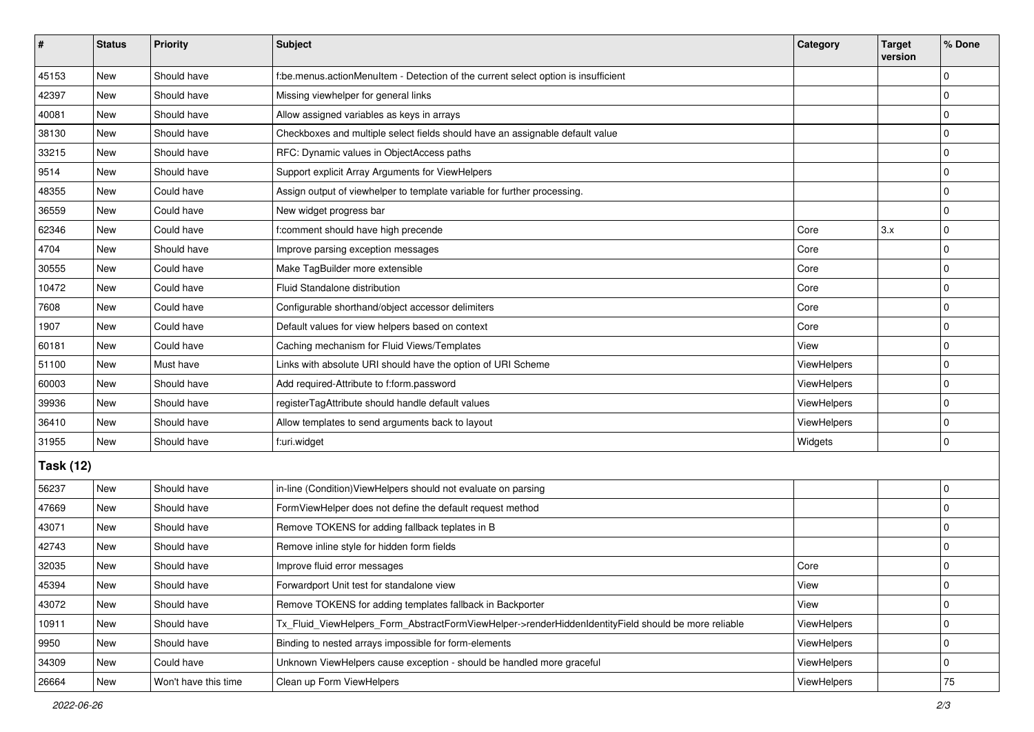| #                | <b>Status</b> | Priority             | <b>Subject</b>                                                                                      | Category    | <b>Target</b><br>version | % Done      |
|------------------|---------------|----------------------|-----------------------------------------------------------------------------------------------------|-------------|--------------------------|-------------|
| 45153            | New           | Should have          | f:be.menus.actionMenuItem - Detection of the current select option is insufficient                  |             |                          | $\Omega$    |
| 42397            | <b>New</b>    | Should have          | Missing viewhelper for general links                                                                |             |                          | 0           |
| 40081            | New           | Should have          | Allow assigned variables as keys in arrays                                                          |             |                          | $\Omega$    |
| 38130            | <b>New</b>    | Should have          | Checkboxes and multiple select fields should have an assignable default value                       |             |                          | 0           |
| 33215            | <b>New</b>    | Should have          | RFC: Dynamic values in ObjectAccess paths                                                           |             |                          | 0           |
| 9514             | New           | Should have          | Support explicit Array Arguments for ViewHelpers                                                    |             |                          | $\Omega$    |
| 48355            | <b>New</b>    | Could have           | Assign output of viewhelper to template variable for further processing.                            |             |                          | $\Omega$    |
| 36559            | New           | Could have           | New widget progress bar                                                                             |             |                          | 0           |
| 62346            | New           | Could have           | f:comment should have high precende                                                                 | Core        | 3.x                      | $\mathbf 0$ |
| 4704             | New           | Should have          | Improve parsing exception messages                                                                  | Core        |                          | $\Omega$    |
| 30555            | New           | Could have           | Make TagBuilder more extensible                                                                     | Core        |                          | $\Omega$    |
| 10472            | <b>New</b>    | Could have           | Fluid Standalone distribution                                                                       | Core        |                          | $\Omega$    |
| 7608             | New           | Could have           | Configurable shorthand/object accessor delimiters                                                   | Core        |                          | 0           |
| 1907             | <b>New</b>    | Could have           | Default values for view helpers based on context                                                    | Core        |                          | $\Omega$    |
| 60181            | New           | Could have           | Caching mechanism for Fluid Views/Templates                                                         | View        |                          | 0           |
| 51100            | New           | Must have            | Links with absolute URI should have the option of URI Scheme                                        | ViewHelpers |                          | $\Omega$    |
| 60003            | <b>New</b>    | Should have          | Add required-Attribute to f:form.password                                                           | ViewHelpers |                          | $\mathbf 0$ |
| 39936            | <b>New</b>    | Should have          | registerTagAttribute should handle default values                                                   | ViewHelpers |                          | 0           |
| 36410            | New           | Should have          | Allow templates to send arguments back to layout                                                    | ViewHelpers |                          | $\Omega$    |
| 31955            | <b>New</b>    | Should have          | f:uri.widget                                                                                        | Widgets     |                          | $\mathbf 0$ |
| <b>Task (12)</b> |               |                      |                                                                                                     |             |                          |             |
| 56237            | New           | Should have          | in-line (Condition) View Helpers should not evaluate on parsing                                     |             |                          | $\mathbf 0$ |
| 47669            | <b>New</b>    | Should have          | FormViewHelper does not define the default request method                                           |             |                          | 0           |
| 43071            | New           | Should have          | Remove TOKENS for adding fallback teplates in B                                                     |             |                          | $\Omega$    |
| 42743            | <b>New</b>    | Should have          | Remove inline style for hidden form fields                                                          |             |                          | 0           |
| 32035            | New           | Should have          | Improve fluid error messages                                                                        | Core        |                          | 0           |
| 45394            | New           | Should have          | Forwardport Unit test for standalone view                                                           | View        |                          | 0           |
| 43072            | New           | Should have          | Remove TOKENS for adding templates fallback in Backporter                                           | View        |                          | $\Omega$    |
| 10911            | New           | Should have          | Tx_Fluid_ViewHelpers_Form_AbstractFormViewHelper->renderHiddenIdentityField should be more reliable | ViewHelpers |                          | 0           |
| 9950             | New           | Should have          | Binding to nested arrays impossible for form-elements                                               | ViewHelpers |                          | 0           |
| 34309            | New           | Could have           | Unknown ViewHelpers cause exception - should be handled more graceful                               | ViewHelpers |                          | 0           |
| 26664            | New           | Won't have this time | Clean up Form ViewHelpers                                                                           | ViewHelpers |                          | 75          |